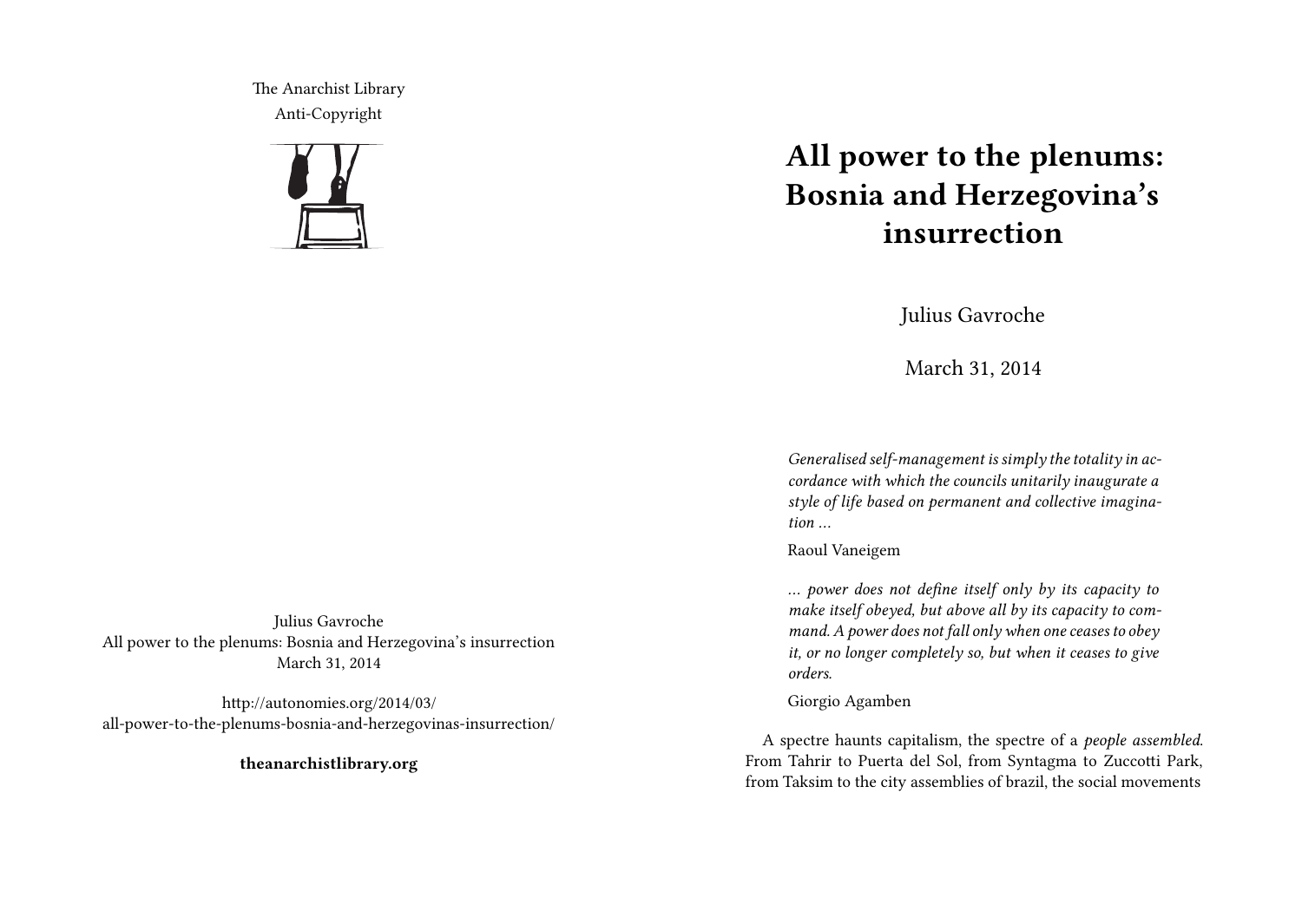The Anarchist Library Anti-Copyright



## **All power to the plenums: Bosnia and Herzegovina's insurrection**

Julius Gavroche

March 31, 2014

*Generalised self-management is simply the totality in accordance with which the councils unitarily inaugurate a style of life based on permanent and collective imagination …*

Raoul Vaneigem

*… power does not define itself only by its capacity to make itself obeyed, but above all by its capacity to command. A power does not fall only when one ceases to obey it, or no longer completely so, but when it ceases to give orders.*

## Giorgio Agamben

A spectre haunts capitalism, the spectre of a *people assembled*. From Tahrir to Puerta del Sol, from Syntagma to Zuccotti Park, from Taksim to the city assemblies of brazil, the social movements

Julius Gavroche All power to the plenums: Bosnia and Herzegovina's insurrection March 31, 2014

http://autonomies.org/2014/03/ all-power-to-the-plenums-bosnia-and-herzegovinas-insurrection/

**theanarchistlibrary.org**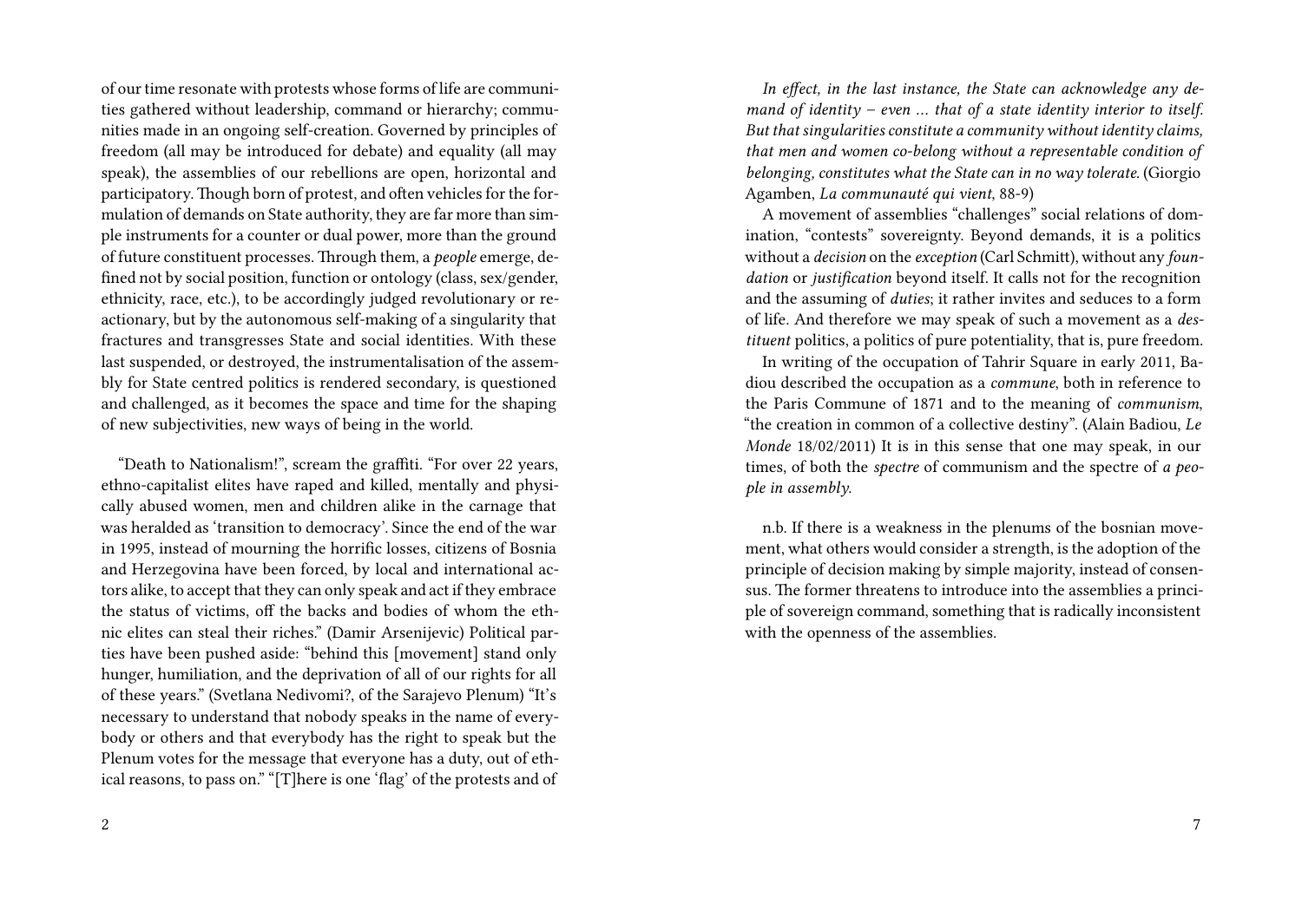of our time resonate with protests whose forms of life are communities gathered without leadership, command or hierarchy; communities made in an ongoing self-creation. Governed by principles of freedom (all may be introduced for debate) and equality (all may speak), the assemblies of our rebellions are open, horizontal and participatory. Though born of protest, and often vehicles for the formulation of demands on State authority, they are far more than simple instruments for a counter or dual power, more than the ground of future constituent processes. Through them, a *people* emerge, defined not by social position, function or ontology (class, sex/gender, ethnicity, race, etc.), to be accordingly judged revolutionary or reactionary, but by the autonomous self-making of a singularity that fractures and transgresses State and social identities. With these last suspended, or destroyed, the instrumentalisation of the assembly for State centred politics is rendered secondary, is questioned and challenged, as it becomes the space and time for the shaping of new subjectivities, new ways of being in the world.

"Death to Nationalism!", scream the graffiti. "For over 22 years, ethno-capitalist elites have raped and killed, mentally and physically abused women, men and children alike in the carnage that was heralded as 'transition to democracy'. Since the end of the war in 1995, instead of mourning the horrific losses, citizens of Bosnia and Herzegovina have been forced, by local and international actors alike, to accept that they can only speak and act if they embrace the status of victims, off the backs and bodies of whom the ethnic elites can steal their riches." (Damir Arsenijevic) Political parties have been pushed aside: "behind this [movement] stand only hunger, humiliation, and the deprivation of all of our rights for all of these years." (Svetlana Nedivomi?, of the Sarajevo Plenum) "It's necessary to understand that nobody speaks in the name of everybody or others and that everybody has the right to speak but the Plenum votes for the message that everyone has a duty, out of ethical reasons, to pass on." "[T]here is one 'flag' of the protests and of

*In effect, in the last instance, the State can acknowledge any demand of identity – even … that of a state identity interior to itself. But that singularities constitute a community without identity claims, that men and women co-belong without a representable condition of belonging, constitutes what the State can in no way tolerate.* (Giorgio Agamben, *La communauté qui vient*, 88-9)

A movement of assemblies "challenges" social relations of domination, "contests" sovereignty. Beyond demands, it is a politics without a *decision* on the *exception* (Carl Schmitt), without any *foundation* or *justification* beyond itself. It calls not for the recognition and the assuming of *duties*; it rather invites and seduces to a form of life. And therefore we may speak of such a movement as a *destituent* politics, a politics of pure potentiality, that is, pure freedom.

In writing of the occupation of Tahrir Square in early 2011, Badiou described the occupation as a *commune*, both in reference to the Paris Commune of 1871 and to the meaning of *communism*, "the creation in common of a collective destiny". (Alain Badiou, *Le Monde* 18/02/2011) It is in this sense that one may speak, in our times, of both the *spectre* of communism and the spectre of *a people in assembly*.

n.b. If there is a weakness in the plenums of the bosnian movement, what others would consider a strength, is the adoption of the principle of decision making by simple majority, instead of consensus. The former threatens to introduce into the assemblies a principle of sovereign command, something that is radically inconsistent with the openness of the assemblies.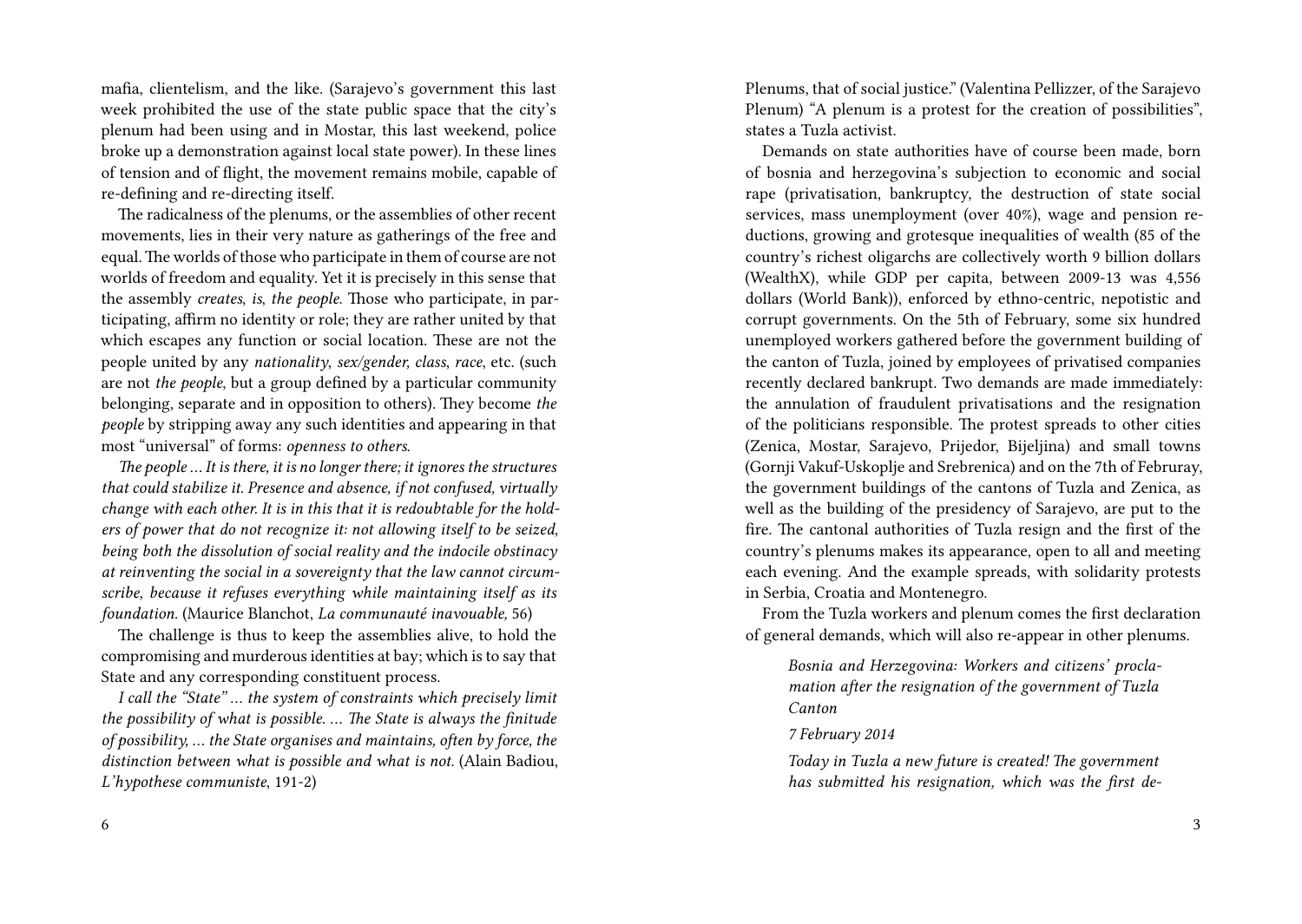mafia, clientelism, and the like. (Sarajevo's government this last week prohibited the use of the state public space that the city's plenum had been using and in Mostar, this last weekend, police broke up a demonstration against local state power). In these lines of tension and of flight, the movement remains mobile, capable of re-defining and re-directing itself.

The radicalness of the plenums, or the assemblies of other recent movements, lies in their very nature as gatherings of the free and equal.The worlds of those who participate in them of course are not worlds of freedom and equality. Yet it is precisely in this sense that the assembly *creates*, *is*, *the people*. Those who participate, in participating, affirm no identity or role; they are rather united by that which escapes any function or social location. These are not the people united by any *nationality*, *sex/gender, class*, *race*, etc. (such are not *the people*, but a group defined by a particular community belonging, separate and in opposition to others). They become *the people* by stripping away any such identities and appearing in that most "universal" of forms: *openness to others*.

*The people … It is there, it is no longer there; it ignores the structures that could stabilize it. Presence and absence, if not confused, virtually change with each other. It is in this that it is redoubtable for the holders of power that do not recognize it: not allowing itself to be seized, being both the dissolution of social reality and the indocile obstinacy at reinventing the social in a sovereignty that the law cannot circumscribe, because it refuses everything while maintaining itself as its foundation.* (Maurice Blanchot, *La communauté inavouable,* 56)

The challenge is thus to keep the assemblies alive, to hold the compromising and murderous identities at bay; which is to say that State and any corresponding constituent process.

*I call the "State" … the system of constraints which precisely limit the possibility of what is possible. … The State is always the finitude of possibility, … the State organises and maintains, often by force, the distinction between what is possible and what is not.* (Alain Badiou, *L'hypothese communiste*, 191-2)

Plenums, that of social justice." (Valentina Pellizzer, of the Sarajevo Plenum) "A plenum is a protest for the creation of possibilities", states a Tuzla activist.

Demands on state authorities have of course been made, born of bosnia and herzegovina's subjection to economic and social rape (privatisation, bankruptcy, the destruction of state social services, mass unemployment (over 40%), wage and pension reductions, growing and grotesque inequalities of wealth (85 of the country's richest oligarchs are collectively worth 9 billion dollars (WealthX), while GDP per capita, between 2009-13 was 4,556 dollars (World Bank)), enforced by ethno-centric, nepotistic and corrupt governments. On the 5th of February, some six hundred unemployed workers gathered before the government building of the canton of Tuzla, joined by employees of privatised companies recently declared bankrupt. Two demands are made immediately: the annulation of fraudulent privatisations and the resignation of the politicians responsible. The protest spreads to other cities (Zenica, Mostar, Sarajevo, Prijedor, Bijeljina) and small towns (Gornji Vakuf-Uskoplje and Srebrenica) and on the 7th of Februray, the government buildings of the cantons of Tuzla and Zenica, as well as the building of the presidency of Sarajevo, are put to the fire. The cantonal authorities of Tuzla resign and the first of the country's plenums makes its appearance, open to all and meeting each evening. And the example spreads, with solidarity protests in Serbia, Croatia and Montenegro.

From the Tuzla workers and plenum comes the first declaration of general demands, which will also re-appear in other plenums.

*Bosnia and Herzegovina: Workers and citizens' proclamation after the resignation of the government of Tuzla Canton*

## *7 February 2014*

*Today in Tuzla a new future is created! The government has submitted his resignation, which was the first de-*